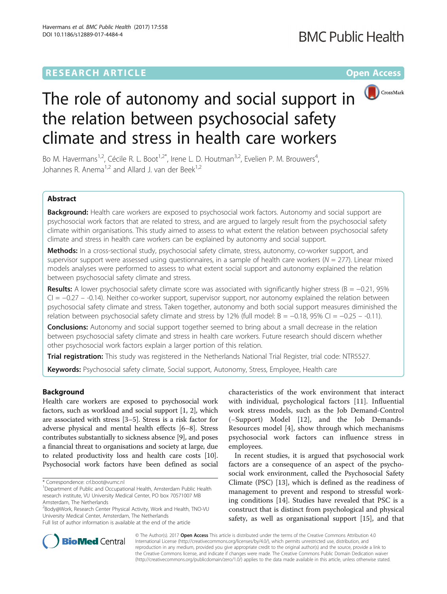# **RESEARCH ARTICLE Example 2018 12:00 Department of the Contract Open Access**



# The role of autonomy and social support in the relation between psychosocial safety climate and stress in health care workers

Bo M. Havermans<sup>1,2</sup>, Cécile R. L. Boot<sup>1,2\*</sup>, Irene L. D. Houtman<sup>3,2</sup>, Evelien P. M. Brouwers<sup>4</sup>, , Johannes R. Anema<sup>1,2</sup> and Allard J. van der Beek<sup>1,2</sup>

## Abstract

Background: Health care workers are exposed to psychosocial work factors. Autonomy and social support are psychosocial work factors that are related to stress, and are argued to largely result from the psychosocial safety climate within organisations. This study aimed to assess to what extent the relation between psychosocial safety climate and stress in health care workers can be explained by autonomy and social support.

Methods: In a cross-sectional study, psychosocial safety climate, stress, autonomy, co-worker support, and supervisor support were assessed using questionnaires, in a sample of health care workers ( $N = 277$ ). Linear mixed models analyses were performed to assess to what extent social support and autonomy explained the relation between psychosocial safety climate and stress.

**Results:** A lower psychosocial safety climate score was associated with significantly higher stress (B =  $-0.21$ , 95% CI = −0.27 – -0.14). Neither co-worker support, supervisor support, nor autonomy explained the relation between psychosocial safety climate and stress. Taken together, autonomy and both social support measures diminished the relation between psychosocial safety climate and stress by 12% (full model: B = −0.18, 95% CI = −0.25 – -0.11).

**Conclusions:** Autonomy and social support together seemed to bring about a small decrease in the relation between psychosocial safety climate and stress in health care workers. Future research should discern whether other psychosocial work factors explain a larger portion of this relation.

Trial registration: This study was registered in the Netherlands National Trial Register, trial code: [NTR5527.](http://www.trialregister.nl/trialreg/admin/rctview.asp?TC=5527)

Keywords: Psychosocial safety climate, Social support, Autonomy, Stress, Employee, Health care

## Background

Health care workers are exposed to psychosocial work factors, such as workload and social support [\[1](#page-5-0), [2](#page-5-0)], which are associated with stress [\[3](#page-5-0)–[5](#page-5-0)]. Stress is a risk factor for adverse physical and mental health effects [[6](#page-5-0)–[8](#page-5-0)]. Stress contributes substantially to sickness absence [[9\]](#page-5-0), and poses a financial threat to organisations and society at large, due to related productivity loss and health care costs [[10](#page-5-0)]. Psychosocial work factors have been defined as social

<sup>2</sup> Body@Work, Research Center Physical Activity, Work and Health, TNO-VU University Medical Center, Amsterdam, The Netherlands Full list of author information is available at the end of the article

characteristics of the work environment that interact with individual, psychological factors [[11\]](#page-5-0). Influential work stress models, such as the Job Demand-Control (−Support) Model [[12\]](#page-5-0), and the Job Demands-Resources model [[4\]](#page-5-0), show through which mechanisms psychosocial work factors can influence stress in employees.

In recent studies, it is argued that psychosocial work factors are a consequence of an aspect of the psychosocial work environment, called the Psychosocial Safety Climate (PSC) [[13](#page-5-0)], which is defined as the readiness of management to prevent and respond to stressful working conditions [[14\]](#page-5-0). Studies have revealed that PSC is a construct that is distinct from psychological and physical safety, as well as organisational support [[15\]](#page-5-0), and that



© The Author(s). 2017 **Open Access** This article is distributed under the terms of the Creative Commons Attribution 4.0 International License [\(http://creativecommons.org/licenses/by/4.0/](http://creativecommons.org/licenses/by/4.0/)), which permits unrestricted use, distribution, and reproduction in any medium, provided you give appropriate credit to the original author(s) and the source, provide a link to the Creative Commons license, and indicate if changes were made. The Creative Commons Public Domain Dedication waiver [\(http://creativecommons.org/publicdomain/zero/1.0/](http://creativecommons.org/publicdomain/zero/1.0/)) applies to the data made available in this article, unless otherwise stated.

<sup>\*</sup> Correspondence: [crl.boot@vumc.nl](mailto:crl.boot@vumc.nl) <sup>1</sup>

<sup>&</sup>lt;sup>1</sup>Department of Public and Occupational Health, Amsterdam Public Health research institute, VU University Medical Center, PO box 70571007 MB Amsterdam, The Netherlands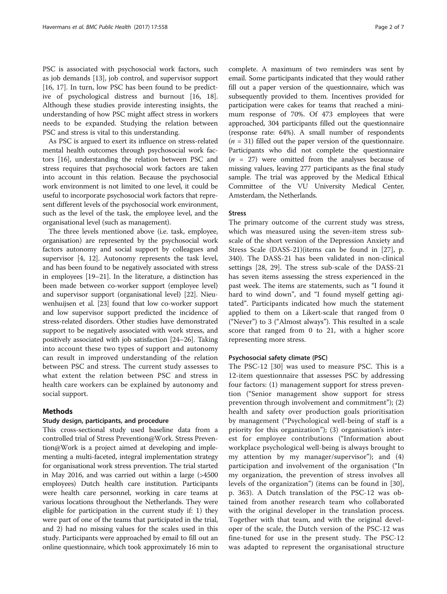PSC is associated with psychosocial work factors, such as job demands [[13\]](#page-5-0), job control, and supervisor support [[16, 17\]](#page-5-0). In turn, low PSC has been found to be predictive of psychological distress and burnout [\[16, 18](#page-5-0)]. Although these studies provide interesting insights, the understanding of how PSC might affect stress in workers needs to be expanded. Studying the relation between PSC and stress is vital to this understanding.

As PSC is argued to exert its influence on stress-related mental health outcomes through psychosocial work factors [\[16\]](#page-5-0), understanding the relation between PSC and stress requires that psychosocial work factors are taken into account in this relation. Because the psychosocial work environment is not limited to one level, it could be useful to incorporate psychosocial work factors that represent different levels of the psychosocial work environment, such as the level of the task, the employee level, and the organisational level (such as management).

The three levels mentioned above (i.e. task, employee, organisation) are represented by the psychosocial work factors autonomy and social support by colleagues and supervisor [\[4](#page-5-0), [12\]](#page-5-0). Autonomy represents the task level, and has been found to be negatively associated with stress in employees [\[19](#page-5-0)–[21](#page-5-0)]. In the literature, a distinction has been made between co-worker support (employee level) and supervisor support (organisational level) [[22](#page-5-0)]. Nieuwenhuijsen et al. [[23](#page-5-0)] found that low co-worker support and low supervisor support predicted the incidence of stress-related disorders. Other studies have demonstrated support to be negatively associated with work stress, and positively associated with job satisfaction [[24](#page-5-0)–[26\]](#page-5-0). Taking into account these two types of support and autonomy can result in improved understanding of the relation between PSC and stress. The current study assesses to what extent the relation between PSC and stress in health care workers can be explained by autonomy and social support.

## Methods

## Study design, participants, and procedure

This cross-sectional study used baseline data from a controlled trial of Stress Prevention@Work. Stress Prevention@Work is a project aimed at developing and implementing a multi-faceted, integral implementation strategy for organisational work stress prevention. The trial started in May 2016, and was carried out within a large (>4500 employees) Dutch health care institution. Participants were health care personnel, working in care teams at various locations throughout the Netherlands. They were eligible for participation in the current study if: 1) they were part of one of the teams that participated in the trial, and 2) had no missing values for the scales used in this study. Participants were approached by email to fill out an online questionnaire, which took approximately 16 min to complete. A maximum of two reminders was sent by email. Some participants indicated that they would rather fill out a paper version of the questionnaire, which was subsequently provided to them. Incentives provided for participation were cakes for teams that reached a minimum response of 70%. Of 473 employees that were approached, 304 participants filled out the questionnaire (response rate: 64%). A small number of respondents  $(n = 31)$  filled out the paper version of the questionnaire. Participants who did not complete the questionnaire  $(n = 27)$  were omitted from the analyses because of missing values, leaving 277 participants as the final study sample. The trial was approved by the Medical Ethical Committee of the VU University Medical Center, Amsterdam, the Netherlands.

## Stress

The primary outcome of the current study was stress, which was measured using the seven-item stress subscale of the short version of the Depression Anxiety and Stress Scale (DASS-21)(items can be found in [\[27](#page-5-0)], p. 340). The DASS-21 has been validated in non-clinical settings [[28](#page-5-0), [29](#page-5-0)]. The stress sub-scale of the DASS-21 has seven items assessing the stress experienced in the past week. The items are statements, such as "I found it hard to wind down", and "I found myself getting agitated". Participants indicated how much the statement applied to them on a Likert-scale that ranged from 0 ("Never") to 3 ("Almost always"). This resulted in a scale score that ranged from 0 to 21, with a higher score representing more stress.

## Psychosocial safety climate (PSC)

The PSC-12 [\[30](#page-5-0)] was used to measure PSC. This is a 12-item questionnaire that assesses PSC by addressing four factors: (1) management support for stress prevention ("Senior management show support for stress prevention through involvement and commitment"); (2) health and safety over production goals prioritisation by management ("Psychological well-being of staff is a priority for this organization"); (3) organisation's interest for employee contributions ("Information about workplace psychological well-being is always brought to my attention by my manager/supervisor"); and (4) participation and involvement of the organisation ("In my organization, the prevention of stress involves all levels of the organization") (items can be found in [\[30](#page-5-0)], p. 363). A Dutch translation of the PSC-12 was obtained from another research team who collaborated with the original developer in the translation process. Together with that team, and with the original developer of the scale, the Dutch version of the PSC-12 was fine-tuned for use in the present study. The PSC-12 was adapted to represent the organisational structure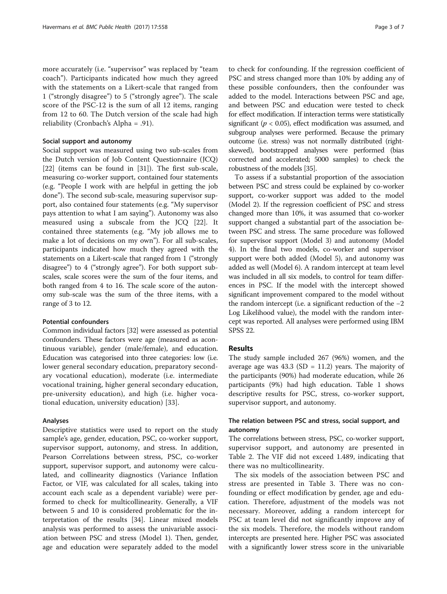more accurately (i.e. "supervisor" was replaced by "team coach"). Participants indicated how much they agreed with the statements on a Likert-scale that ranged from 1 ("strongly disagree") to 5 ("strongly agree"). The scale score of the PSC-12 is the sum of all 12 items, ranging from 12 to 60. The Dutch version of the scale had high reliability (Cronbach's Alpha = .91).

#### Social support and autonomy

Social support was measured using two sub-scales from the Dutch version of Job Content Questionnaire (JCQ) [[22\]](#page-5-0) (items can be found in [[31\]](#page-5-0)). The first sub-scale, measuring co-worker support, contained four statements (e.g. "People I work with are helpful in getting the job done"). The second sub-scale, measuring supervisor support, also contained four statements (e.g. "My supervisor pays attention to what I am saying"). Autonomy was also measured using a subscale from the JCQ [[22](#page-5-0)]. It contained three statements (e.g. "My job allows me to make a lot of decisions on my own"). For all sub-scales, participants indicated how much they agreed with the statements on a Likert-scale that ranged from 1 ("strongly disagree") to 4 ("strongly agree"). For both support subscales, scale scores were the sum of the four items, and both ranged from 4 to 16. The scale score of the autonomy sub-scale was the sum of the three items, with a range of 3 to 12.

## Potential confounders

Common individual factors [\[32\]](#page-5-0) were assessed as potential confounders. These factors were age (measured as acontinuous variable), gender (male/female), and education. Education was categorised into three categories: low (i.e. lower general secondary education, preparatory secondary vocational education), moderate (i.e. intermediate vocational training, higher general secondary education, pre-university education), and high (i.e. higher vocational education, university education) [[33\]](#page-5-0).

## Analyses

Descriptive statistics were used to report on the study sample's age, gender, education, PSC, co-worker support, supervisor support, autonomy, and stress. In addition, Pearson Correlations between stress, PSC, co-worker support, supervisor support, and autonomy were calculated, and collinearity diagnostics (Variance Inflation Factor, or VIF, was calculated for all scales, taking into account each scale as a dependent variable) were performed to check for multicollinearity. Generally, a VIF between 5 and 10 is considered problematic for the interpretation of the results [\[34](#page-5-0)]. Linear mixed models analysis was performed to assess the univariable association between PSC and stress (Model 1). Then, gender, age and education were separately added to the model

to check for confounding. If the regression coefficient of PSC and stress changed more than 10% by adding any of these possible confounders, then the confounder was added to the model. Interactions between PSC and age, and between PSC and education were tested to check for effect modification. If interaction terms were statistically significant ( $p < 0.05$ ), effect modification was assumed, and subgroup analyses were performed. Because the primary outcome (i.e. stress) was not normally distributed (rightskewed), bootstrapped analyses were performed (bias corrected and accelerated; 5000 samples) to check the robustness of the models [\[35](#page-5-0)].

To assess if a substantial proportion of the association between PSC and stress could be explained by co-worker support, co-worker support was added to the model (Model 2). If the regression coefficient of PSC and stress changed more than 10%, it was assumed that co-worker support changed a substantial part of the association between PSC and stress. The same procedure was followed for supervisor support (Model 3) and autonomy (Model 4). In the final two models, co-worker and supervisor support were both added (Model 5), and autonomy was added as well (Model 6). A random intercept at team level was included in all six models, to control for team differences in PSC. If the model with the intercept showed significant improvement compared to the model without the random intercept (i.e. a significant reduction of the −2 Log Likelihood value), the model with the random intercept was reported. All analyses were performed using IBM SPSS 22.

## Results

The study sample included 267 (96%) women, and the average age was  $43.3$  (SD = 11.2) years. The majority of the participants (90%) had moderate education, while 26 participants (9%) had high education. Table [1](#page-3-0) shows descriptive results for PSC, stress, co-worker support, supervisor support, and autonomy.

## The relation between PSC and stress, social support, and autonomy

The correlations between stress, PSC, co-worker support, supervisor support, and autonomy are presented in Table [2](#page-3-0). The VIF did not exceed 1.489, indicating that there was no multicollinearity.

The six models of the association between PSC and stress are presented in Table [3.](#page-4-0) There was no confounding or effect modification by gender, age and education. Therefore, adjustment of the models was not necessary. Moreover, adding a random intercept for PSC at team level did not significantly improve any of the six models. Therefore, the models without random intercepts are presented here. Higher PSC was associated with a significantly lower stress score in the univariable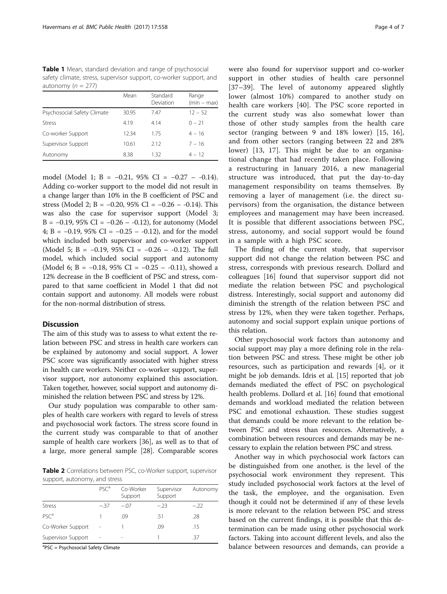<span id="page-3-0"></span>Table 1 Mean, standard deviation and range of psychosocial safety climate, stress, supervisor support, co-worker support, and autonomy ( $n = 277$ )

|                             | Mean  | Standard<br>Deviation | Range<br>$(min - max)$ |
|-----------------------------|-------|-----------------------|------------------------|
| Psychosocial Safety Climate | 30.95 | 747                   | $12 - 52$              |
| <b>Stress</b>               | 4.19  | 4.14                  | $0 - 21$               |
| Co-worker Support           | 12.34 | 175                   | $4 - 16$               |
| Supervisor Support          | 10.61 | 2.12                  | $7 - 16$               |
| Autonomy                    | 8.38  | 1.32                  | $4 - 12$               |

model (Model 1; B = −0.21, 95% CI = −0.27 – -0.14). Adding co-worker support to the model did not result in a change larger than 10% in the B coefficient of PSC and stress (Model 2; B = −0.20, 95% CI = −0.26 – -0.14). This was also the case for supervisor support (Model 3; B =  $-0.19$ , 95% CI =  $-0.26 - 0.12$ ), for autonomy (Model 4; B =  $-0.19$ , 95% CI =  $-0.25 - 0.12$ ), and for the model which included both supervisor and co-worker support (Model 5; B = −0.19, 95% CI = −0.26 – -0.12). The full model, which included social support and autonomy (Model 6; B =  $-0.18$ , 95% CI =  $-0.25 - 0.11$ ), showed a 12% decrease in the B coefficient of PSC and stress, compared to that same coefficient in Model 1 that did not contain support and autonomy. All models were robust for the non-normal distribution of stress.

## **Discussion**

The aim of this study was to assess to what extent the relation between PSC and stress in health care workers can be explained by autonomy and social support. A lower PSC score was significantly associated with higher stress in health care workers. Neither co-worker support, supervisor support, nor autonomy explained this association. Taken together, however, social support and autonomy diminished the relation between PSC and stress by 12%.

Our study population was comparable to other samples of health care workers with regard to levels of stress and psychosocial work factors. The stress score found in the current study was comparable to that of another sample of health care workers [[36\]](#page-5-0), as well as to that of a large, more general sample [[28](#page-5-0)]. Comparable scores

Table 2 Correlations between PSC, co-Worker support, supervisor support, autonomy, and stress

|                    | PSC <sup>a</sup> | Co-Worker<br>Support | Supervisor<br>Support | Autonomy |  |  |
|--------------------|------------------|----------------------|-----------------------|----------|--|--|
| <b>Stress</b>      | $-37$            | $-.07$               | $-23$                 | $-22$    |  |  |
| PSC <sup>a</sup>   |                  | .09                  | .51                   | .28      |  |  |
| Co-Worker Support  |                  |                      | .09                   | .15      |  |  |
| Supervisor Support | ٠                |                      |                       | -37      |  |  |

<sup>a</sup>PSC = Psychosocial Safety Climate

were also found for supervisor support and co-worker support in other studies of health care personnel [[37](#page-5-0)–[39](#page-6-0)]. The level of autonomy appeared slightly lower (almost 10%) compared to another study on health care workers [[40\]](#page-6-0). The PSC score reported in the current study was also somewhat lower than those of other study samples from the health care sector (ranging between 9 and 18% lower) [\[15](#page-5-0), [16](#page-5-0)], and from other sectors (ranging between 22 and 28% lower) [[13](#page-5-0), [17](#page-5-0)]. This might be due to an organisational change that had recently taken place. Following a restructuring in January 2016, a new managerial structure was introduced, that put the day-to-day management responsibility on teams themselves. By removing a layer of management (i.e. the direct supervisors) from the organisation, the distance between employees and management may have been increased. It is possible that different associations between PSC, stress, autonomy, and social support would be found in a sample with a high PSC score.

The finding of the current study, that supervisor support did not change the relation between PSC and stress, corresponds with previous research. Dollard and colleagues [[16](#page-5-0)] found that supervisor support did not mediate the relation between PSC and psychological distress. Interestingly, social support and autonomy did diminish the strength of the relation between PSC and stress by 12%, when they were taken together. Perhaps, autonomy and social support explain unique portions of this relation.

Other psychosocial work factors than autonomy and social support may play a more defining role in the relation between PSC and stress. These might be other job resources, such as participation and rewards [\[4\]](#page-5-0), or it might be job demands. Idris et al. [[15\]](#page-5-0) reported that job demands mediated the effect of PSC on psychological health problems. Dollard et al. [[16](#page-5-0)] found that emotional demands and workload mediated the relation between PSC and emotional exhaustion. These studies suggest that demands could be more relevant to the relation between PSC and stress than resources. Alternatively, a combination between resources and demands may be necessary to explain the relation between PSC and stress.

Another way in which psychosocial work factors can be distinguished from one another, is the level of the psychosocial work environment they represent. This study included psychosocial work factors at the level of the task, the employee, and the organisation. Even though it could not be determined if any of these levels is more relevant to the relation between PSC and stress based on the current findings, it is possible that this determination can be made using other psychosocial work factors. Taking into account different levels, and also the balance between resources and demands, can provide a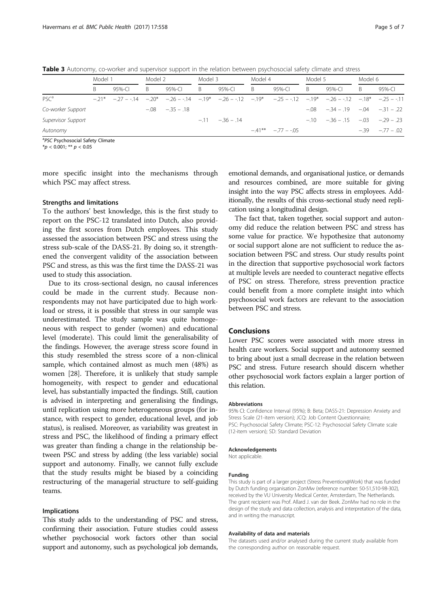<span id="page-4-0"></span>Table 3 Autonomy, co-worker and supervisor support in the relation between psychosocial safety climate and stress

|                    | Model 1 |            | Model 2 |                                                                                                                   | Model 3 |                 | Model 4 |                        | Model 5 |                                           | Model 6 |                 |
|--------------------|---------|------------|---------|-------------------------------------------------------------------------------------------------------------------|---------|-----------------|---------|------------------------|---------|-------------------------------------------|---------|-----------------|
|                    |         | $95% - C1$ | B.      | 95%-CI                                                                                                            | B       | 95%-CL          | B.      | 95%-CI                 | B.      | $95% - C1$                                | B.      | $95% - C1$      |
| PSC <sup>a</sup>   |         |            |         | $-21^*$ $-27 - 14$ $-20^*$ $-26 - 14$ $-19^*$ $-26 - 12$ $-19^*$ $-25 - 12$ $-19^*$ $-26 - 12$ $-10^*$ $-26 - 12$ |         |                 |         |                        |         |                                           |         |                 |
| Co-worker Support  |         |            |         | $-.08 - .35 - .18$                                                                                                |         |                 |         |                        |         | $-.08$ $-.34$ $-.19$ $-.04$ $-.31$ $-.22$ |         |                 |
| Supervisor Support |         |            |         |                                                                                                                   |         | $-11 - 36 - 14$ |         |                        |         | $-10 -36 -15 -03 -29 - 23$                |         |                 |
| Autonomy           |         |            |         |                                                                                                                   |         |                 |         | $-41***$ $-77$ $-0.65$ |         |                                           |         | $-39 - 77 - 02$ |

<sup>a</sup>PSC Psychosocial Safety Climate

 $*$ *p* < 0.001; \*\* *p* < 0.05

more specific insight into the mechanisms through which PSC may affect stress.

#### Strengths and limitations

To the authors' best knowledge, this is the first study to report on the PSC-12 translated into Dutch, also providing the first scores from Dutch employees. This study assessed the association between PSC and stress using the stress sub-scale of the DASS-21. By doing so, it strengthened the convergent validity of the association between PSC and stress, as this was the first time the DASS-21 was used to study this association.

Due to its cross-sectional design, no causal inferences could be made in the current study. Because nonrespondents may not have participated due to high workload or stress, it is possible that stress in our sample was underestimated. The study sample was quite homogeneous with respect to gender (women) and educational level (moderate). This could limit the generalisability of the findings. However, the average stress score found in this study resembled the stress score of a non-clinical sample, which contained almost as much men (48%) as women [[28](#page-5-0)]. Therefore, it is unlikely that study sample homogeneity, with respect to gender and educational level, has substantially impacted the findings. Still, caution is advised in interpreting and generalising the findings, until replication using more heterogeneous groups (for instance, with respect to gender, educational level, and job status), is realised. Moreover, as variability was greatest in stress and PSC, the likelihood of finding a primary effect was greater than finding a change in the relationship between PSC and stress by adding (the less variable) social support and autonomy. Finally, we cannot fully exclude that the study results might be biased by a coinciding restructuring of the managerial structure to self-guiding teams.

## Implications

This study adds to the understanding of PSC and stress, confirming their association. Future studies could assess whether psychosocial work factors other than social support and autonomy, such as psychological job demands,

emotional demands, and organisational justice, or demands and resources combined, are more suitable for giving insight into the way PSC affects stress in employees. Additionally, the results of this cross-sectional study need replication using a longitudinal design.

The fact that, taken together, social support and autonomy did reduce the relation between PSC and stress has some value for practice. We hypothesize that autonomy or social support alone are not sufficient to reduce the association between PSC and stress. Our study results point in the direction that supportive psychosocial work factors at multiple levels are needed to counteract negative effects of PSC on stress. Therefore, stress prevention practice could benefit from a more complete insight into which psychosocial work factors are relevant to the association between PSC and stress.

## Conclusions

Lower PSC scores were associated with more stress in health care workers. Social support and autonomy seemed to bring about just a small decrease in the relation between PSC and stress. Future research should discern whether other psychosocial work factors explain a larger portion of this relation.

#### Abbreviations

95% CI: Confidence Interval (95%); B: Beta; DASS-21: Depression Anxiety and Stress Scale (21-item version); JCQ: Job Content Questionnaire; PSC: Psychosocial Safety Climate; PSC-12: Psychosocial Safety Climate scale (12-item version); SD: Standard Deviation

#### Acknowledgements

Not applicable.

#### Funding

This study is part of a larger project (Stress Prevention@Work) that was funded by Dutch funding organisation ZonMw (reference number: 50-51,510-98-302), received by the VU University Medical Center, Amsterdam, The Netherlands. The grant recipient was Prof. Allard J. van der Beek. ZonMw had no role in the design of the study and data collection, analysis and interpretation of the data, and in writing the manuscript.

#### Availability of data and materials

The datasets used and/or analysed during the current study available from the corresponding author on reasonable request.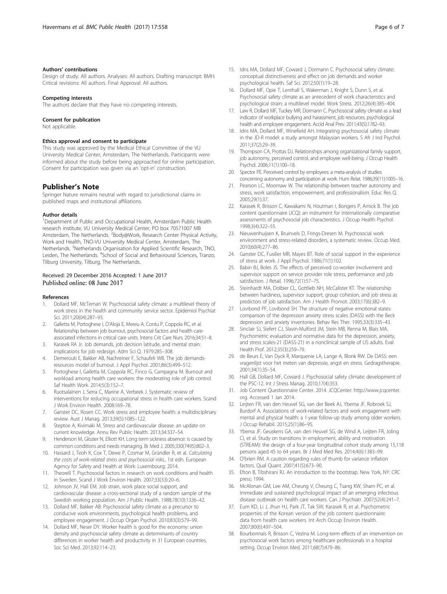#### <span id="page-5-0"></span>Authors' contributions

Design of study: All authors. Analyses: All authors. Drafting manuscript: BMH. Critical revisions: All authors. Final Approval: All authors.

#### Competing interests

The authors declare that they have no competing interests.

## Consent for publication

Not applicable.

#### Ethics approval and consent to participate

This study was approved by the Medical Ethical Committee of the VU University Medical Center, Amsterdam, The Netherlands. Participants were informed about the study before being approached for online participation. Consent for participation was given via an 'opt-in' construction.

#### Publisher's Note

Springer Nature remains neutral with regard to jurisdictional claims in published maps and institutional affiliations.

#### Author details

<sup>1</sup>Department of Public and Occupational Health, Amsterdam Public Health research institute, VU University Medical Center, PO box 70571007 MB Amsterdam, The Netherlands. <sup>2</sup>Body@Work, Research Center Physical Activity, Work and Health, TNO-VU University Medical Center, Amsterdam, The Netherlands. <sup>3</sup>Netherlands Organisation for Applied Scientific Research, TNO, Leiden, The Netherlands. <sup>4</sup>School of Social and Behavioural Sciences, Tranzo, Tilburg University, Tilburg, The Netherlands.

## Received: 29 December 2016 Accepted: 1 June 2017 Published online: 08 June 2017

#### References

- 1. Dollard MF, McTernan W. Psychosocial safety climate: a multilevel theory of work stress in the health and community service sector. Epidemiol Psychiat Sci. 2011;20(04):287–93.
- 2. Galletta M, Portoghese I, D'Aloja E, Mereu A, Contu P, Coppola RC, et al. Relationship between job burnout, psychosocial factors and health careassociated infections in critical care units. Intens Crit Care Nurs. 2016;34:51–8.
- Karasek RA Jr. Job demands, job decision latitude, and mental strain: implications for job redesign. Adm Sci Q. 1979:285–308.
- 4. Demerouti E, Bakker AB, Nachreiner F, Schaufeli WB. The job demandsresources model of burnout. J Appl Psychol. 2001;86(3):499–512.
- 5. Portoghese I, Galletta M, Coppola RC, Finco G, Campagna M. Burnout and workload among health care workers: the moderating role of job control. Saf Health Work. 2014;5(3):152–7.
- 6. Ruotsalainen J, Serra C, Marine A, Verbeek J. Systematic review of interventions for reducing occupational stress in health care workers. Scand J Work Environ Health. 2008:169–78.
- 7. Ganster DC, Rosen CC. Work stress and employee health: a multidisciplinary review. Aust J Manag. 2013;39(5):1085–122.
- 8. Steptoe A, Kivimaki M. Stress and cardiovascular disease: an update on current knowledge. Annu Rev Public Health. 2013;34:337–54.
- 9. Henderson M, Glozier N, Elliott KH. Long term sickness absence: is caused by common conditions and needs managing. Br Med J. 2005;330(7495):802–3.
- 10. Hassard J, Teoh K, Cox T, Dewe P, Cosmar M, Gründler R, et al. Calculating the costs of work-related stress and psychosocial risks., 1st edn. European Agency for Safety and Health at Work: Luxembourg; 2014.
- 11. Theorell T. Psychosocial factors in research on work conditions and health in Sweden. Scand J Work Environ Health. 2007;33(33):20–6.
- 12. Johnson JV, Hall EM. Job strain, work place social support, and cardiovascular disease: a cross-sectional study of a random sample of the Swedish working population. Am J Public Health. 1988;78(10):1336–42.
- 13. Dollard MF, Bakker AB. Psychosocial safety climate as a precursor to conducive work environments, psychological health problems, and employee engagement. J Occup Organ Psychol. 2010;83(3):579–99.
- 14. Dollard MF, Neser DY. Worker health is good for the economy: union density and psychosocial safety climate as determinants of country differences in worker health and productivity in 31 European countries. Soc Sci Med. 2013;92:114–23.
- 15. Idris MA, Dollard MF, Coward J, Dormann C. Psychosocial safety climate: conceptual distinctiveness and effect on job demands and worker psychological health. Saf Sci. 2012;50(1):19–28.
- 16. Dollard MF, Opie T, Lenthall S, Wakerman J, Knight S, Dunn S, et al. Psychosocial safety climate as an antecedent of work characteristics and psychological strain: a multilevel model. Work Stress. 2012;26(4):385–404.
- 17. Law R, Dollard MF, Tuckey MR, Dormann C. Psychosocial safety climate as a lead indicator of workplace bullying and harassment, job resources, psychological health and employee engagement. Accid Anal Prev. 2011;43(5):1782–93.
- 18. Idris MA, Dollard MF, Winefield AH. Integrating psychosocial safety climate in the JD-R model: a study amongst Malaysian workers. S Afr J Ind Psychol. 2011;37(2):29–39.
- 19. Thompson CA, Prottas DJ. Relationships among organizational family support, job autonomy, perceived control, and employee well-being. J Occup Health Psychol. 2006;11(1):100–18.
- 20. Spector PE. Perceived control by employees: a meta-analysis of studies concerning autonomy and participation at work. Hum Relat. 1986;39(11):1005–16.
- 21. Pearson LC, Moomaw W. The relationship between teacher autonomy and stress, work satisfaction, empowerment, and professionalism. Educ Res Q. 2005;29(1):37.
- 22. Karasek R, Brisson C, Kawakami N, Houtman I, Bongers P, Amick B. The job content questionnaire (JCQ): an instrument for internationally comparative assessments of psychosocial job characteristics. J Occup Health Psychol. 1998;3(4):322–55.
- 23. Nieuwenhuijsen K, Bruinvels D, Frings-Dresen M. Psychosocial work environment and stress-related disorders, a systematic review. Occup Med. 2010;60(4):277–86.
- 24. Ganster DC, Fusilier MR, Mayes BT. Role of social support in the experience of stress at work. J Appl Psychol. 1986;71(1):102.
- 25. Babin BJ, Boles JS. The effects of perceived co-worker involvement and supervisor support on service provider role stress, performance and job satisfaction. J Retail. 1996;72(1):57–75.
- 26. Steinhardt MA, Dolbier CL, Gottlieb NH, McCalister KT. The relationship between hardiness, supervisor support, group cohesion, and job stress as predictors of job satisfaction. Am J Health Promot. 2003;17(6):382–9.
- 27. Lovibond PF, Lovibond SH. The structure of negative emotional states: comparison of the depression anxiety stress scales (DASS) with the Beck depression and anxiety inventories. Behav Res Ther. 1995;33(3):335–43.
- 28. Sinclair SJ, Siefert CJ, Slavin-Mulford JM, Stein MB, Renna M, Blais MA. Psychometric evaluation and normative data for the depression, anxiety, and stress scales-21 (DASS-21) in a nonclinical sample of US adults. Eval Health Prof. 2012;35(3):259–79.
- 29. de Beurs E, Van Dyck R, Marquenie LA, Lange A, Blonk RW. De DASS: een vragenlijst voor het meten van depressie, angst en stress. Gedragstherapie. 2001;34(1):35–54.
- 30. Hall GB, Dollard MF, Coward J. Psychosocial safety climate: development of the PSC-12. Int J Stress Manag. 2010;17(4):353.
- 31. Job Content Questionnaire Center. 2014. JCQCenter: [http://www.jcqcenter.](http://www.jcqcenter.org) [org](http://www.jcqcenter.org). Accessed 1 Jan 2014.
- 32. Leijten FR, van den Heuvel SG, van der Beek AJ, Ybema JF, Robroek SJ, Burdorf A. Associations of work-related factors and work engagement with mental and physical health: a 1-year follow-up study among older workers. J Occup Rehabil. 2015;25(1):86–95.
- 33. Ybema JF, Geuskens GA, van den Heuvel SG, de Wind A, Leijten FR, Joling CI, et al. Study on transitions in employment, ability and motivation (STREAM): the design of a four-year longitudinal cohort study among 15,118 persons aged 45 to 64 years. Br J Med Med Res. 2014;4(6):1383–99.
- 34. O'brien RM. A caution regarding rules of thumb for variance inflation factors. Qual Quant. 2007;41(5):673–90.
- 35. Efron B, Tibshirani RJ. An introduction to the bootstrap. New York, NY: CRC press; 1994.
- 36. McAlonan GM, Lee AM, Cheung V, Cheung C, Tsang KW, Sham PC, et al. Immediate and sustained psychological impact of an emerging infectious disease outbreak on health care workers. Can J Psychiatr. 2007;52(4):241–7.
- 37. Eum KD, Li J, Jhun HJ, Park JT, Tak SW, Karasek R, et al. Psychometric properties of the Korean version of the job content questionnaire: data from health care workers. Int Arch Occup Environ Health. 2007;80(6):497–504.
- 38. Bourbonnais R, Brisson C, Vezina M. Long-term effects of an intervention on psychosocial work factors among healthcare professionals in a hospital setting. Occup Environ Med. 2011;68(7):479–86.